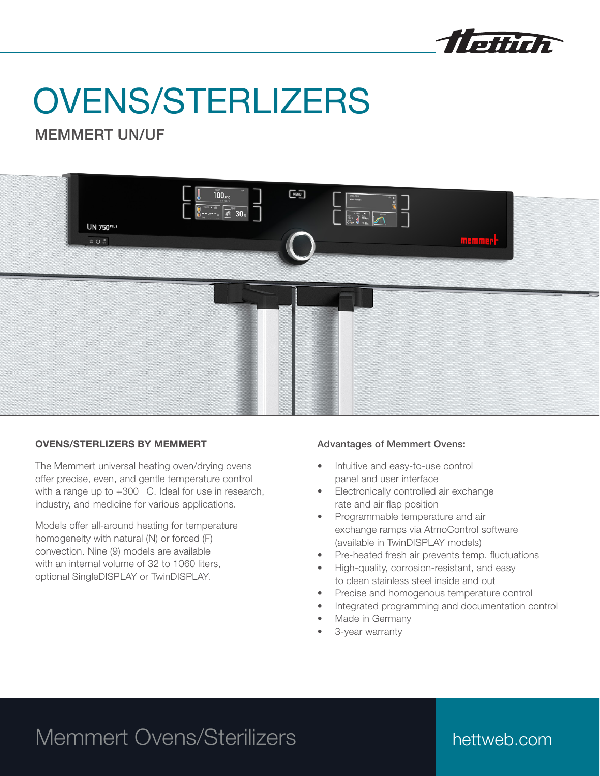

# OVENS/STERLIZERS

## MEMMERT UN/UF



### OVENS/STERLIZERS BY MEMMERT

The Memmert universal heating oven/drying ovens offer precise, even, and gentle temperature control with a range up to  $+300$  C. Ideal for use in research, industry, and medicine for various applications.

Models offer all-around heating for temperature homogeneity with natural (N) or forced (F) convection. Nine (9) models are available with an internal volume of 32 to 1060 liters. optional SingleDISPLAY or TwinDISPLAY.

### Advantages of Memmert Ovens:

- Intuitive and easy-to-use control panel and user interface
- Electronically controlled air exchange rate and air flap position
- Programmable temperature and air exchange ramps via AtmoControl software (available in TwinDISPLAY models)
- Pre-heated fresh air prevents temp. fluctuations
- High-quality, corrosion-resistant, and easy to clean stainless steel inside and out
- Precise and homogenous temperature control
- Integrated programming and documentation control
- Made in Germany
- 3-year warranty

# Memmert Ovens/Sterilizers

# hettweb.com